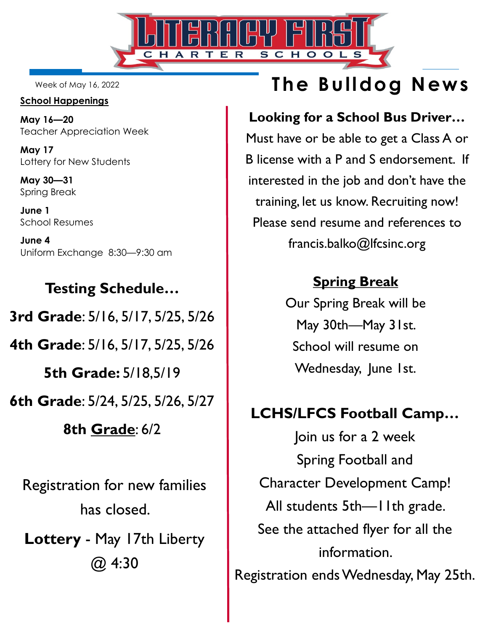

Week of May 16, 2022

### **School Happenings**

**May 16—20**  Teacher Appreciation Week

**May 17**  Lottery for New Students

**May 30—31** Spring Break

**June 1**  School Resumes

**June 4**  Uniform Exchange 8:30—9:30 am

Registration for new families **Testing Schedule… 3rd Grade**: 5/16, 5/17, 5/25, 5/26 **4th Grade**: 5/16, 5/17, 5/25, 5/26 **5th Grade:** 5/18,5/19 **6th Grade**: 5/24, 5/25, 5/26, 5/27 **8th Grade**: 6/2

**Lottery** - May 17th Liberty @ 4:30

has closed.

# **The Bulldog News**

## **Looking for a School Bus Driver…**

Must have or be able to get a Class A or B license with a P and S endorsement. If interested in the job and don't have the training, let us know. Recruiting now! Please send resume and references to francis.balko@lfcsinc.org

# **Spring Break**

Our Spring Break will be May 30th—May 31st. School will resume on Wednesday, June 1st.

# **LCHS/LFCS Football Camp…**

Join us for a 2 week Spring Football and Character Development Camp! All students 5th-I lth grade. See the attached flyer for all the information. Registration ends Wednesday, May 25th.